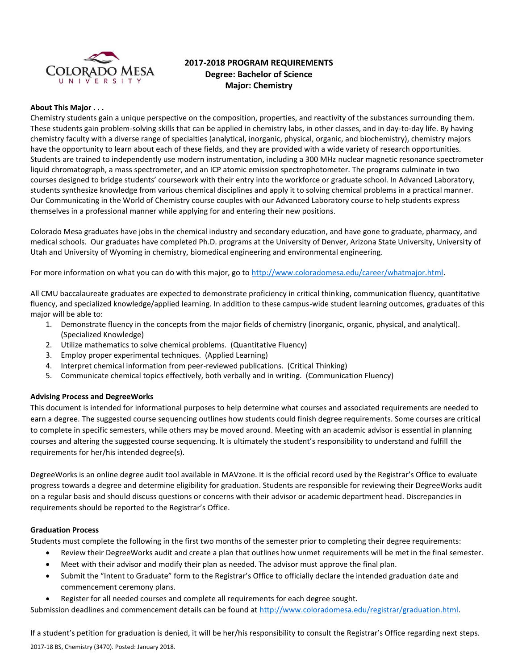

# **2017-2018 PROGRAM REQUIREMENTS Degree: Bachelor of Science Major: Chemistry**

#### **About This Major . . .**

Chemistry students gain a unique perspective on the composition, properties, and reactivity of the substances surrounding them. These students gain problem-solving skills that can be applied in chemistry labs, in other classes, and in day-to-day life. By having chemistry faculty with a diverse range of specialties (analytical, inorganic, physical, organic, and biochemistry), chemistry majors have the opportunity to learn about each of these fields, and they are provided with a wide variety of research opportunities. Students are trained to independently use modern instrumentation, including a 300 MHz nuclear magnetic resonance spectrometer liquid chromatograph, a mass spectrometer, and an ICP atomic emission spectrophotometer. The programs culminate in two courses designed to bridge students' coursework with their entry into the workforce or graduate school. In Advanced Laboratory, students synthesize knowledge from various chemical disciplines and apply it to solving chemical problems in a practical manner. Our Communicating in the World of Chemistry course couples with our Advanced Laboratory course to help students express themselves in a professional manner while applying for and entering their new positions.

Colorado Mesa graduates have jobs in the chemical industry and secondary education, and have gone to graduate, pharmacy, and medical schools. Our graduates have completed Ph.D. programs at the University of Denver, Arizona State University, University of Utah and University of Wyoming in chemistry, biomedical engineering and environmental engineering.

For more information on what you can do with this major, go to [http://www.coloradomesa.edu/career/whatmajor.html.](http://www.coloradomesa.edu/career/whatmajor.html)

All CMU baccalaureate graduates are expected to demonstrate proficiency in critical thinking, communication fluency, quantitative fluency, and specialized knowledge/applied learning. In addition to these campus-wide student learning outcomes, graduates of this major will be able to:

- 1. Demonstrate fluency in the concepts from the major fields of chemistry (inorganic, organic, physical, and analytical). (Specialized Knowledge)
- 2. Utilize mathematics to solve chemical problems. (Quantitative Fluency)
- 3. Employ proper experimental techniques. (Applied Learning)
- 4. Interpret chemical information from peer-reviewed publications. (Critical Thinking)
- 5. Communicate chemical topics effectively, both verbally and in writing. (Communication Fluency)

#### **Advising Process and DegreeWorks**

This document is intended for informational purposes to help determine what courses and associated requirements are needed to earn a degree. The suggested course sequencing outlines how students could finish degree requirements. Some courses are critical to complete in specific semesters, while others may be moved around. Meeting with an academic advisor is essential in planning courses and altering the suggested course sequencing. It is ultimately the student's responsibility to understand and fulfill the requirements for her/his intended degree(s).

DegreeWorks is an online degree audit tool available in MAVzone. It is the official record used by the Registrar's Office to evaluate progress towards a degree and determine eligibility for graduation. Students are responsible for reviewing their DegreeWorks audit on a regular basis and should discuss questions or concerns with their advisor or academic department head. Discrepancies in requirements should be reported to the Registrar's Office.

#### **Graduation Process**

Students must complete the following in the first two months of the semester prior to completing their degree requirements:

- Review their DegreeWorks audit and create a plan that outlines how unmet requirements will be met in the final semester.
- Meet with their advisor and modify their plan as needed. The advisor must approve the final plan.
- Submit the "Intent to Graduate" form to the Registrar's Office to officially declare the intended graduation date and commencement ceremony plans.
- Register for all needed courses and complete all requirements for each degree sought.

Submission deadlines and commencement details can be found at [http://www.coloradomesa.edu/registrar/graduation.html.](http://www.coloradomesa.edu/registrar/graduation.html)

2017-18 BS, Chemistry (3470). Posted: January 2018. If a student's petition for graduation is denied, it will be her/his responsibility to consult the Registrar's Office regarding next steps.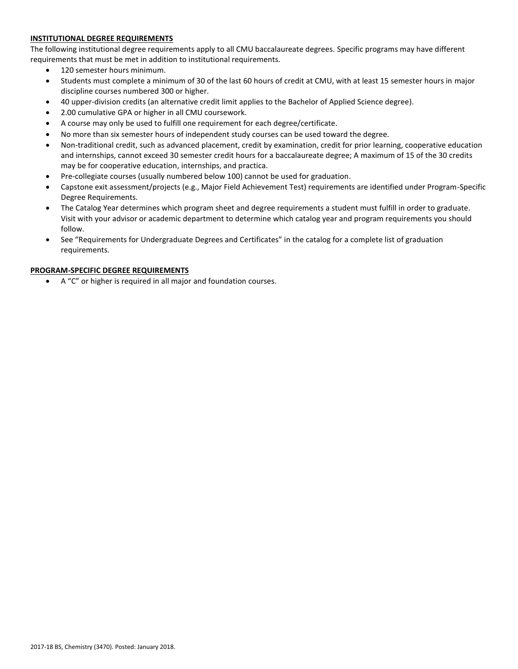# **INSTITUTIONAL DEGREE REQUIREMENTS**

The following institutional degree requirements apply to all CMU baccalaureate degrees. Specific programs may have different requirements that must be met in addition to institutional requirements.

- 120 semester hours minimum.
- Students must complete a minimum of 30 of the last 60 hours of credit at CMU, with at least 15 semester hours in major discipline courses numbered 300 or higher.
- 40 upper-division credits (an alternative credit limit applies to the Bachelor of Applied Science degree).
- 2.00 cumulative GPA or higher in all CMU coursework.
- A course may only be used to fulfill one requirement for each degree/certificate.
- No more than six semester hours of independent study courses can be used toward the degree.
- Non-traditional credit, such as advanced placement, credit by examination, credit for prior learning, cooperative education and internships, cannot exceed 30 semester credit hours for a baccalaureate degree; A maximum of 15 of the 30 credits may be for cooperative education, internships, and practica.
- Pre-collegiate courses (usually numbered below 100) cannot be used for graduation.
- Capstone exit assessment/projects (e.g., Major Field Achievement Test) requirements are identified under Program-Specific Degree Requirements.
- The Catalog Year determines which program sheet and degree requirements a student must fulfill in order to graduate. Visit with your advisor or academic department to determine which catalog year and program requirements you should follow.
- See "Requirements for Undergraduate Degrees and Certificates" in the catalog for a complete list of graduation requirements.

# **PROGRAM-SPECIFIC DEGREE REQUIREMENTS**

A "C" or higher is required in all major and foundation courses.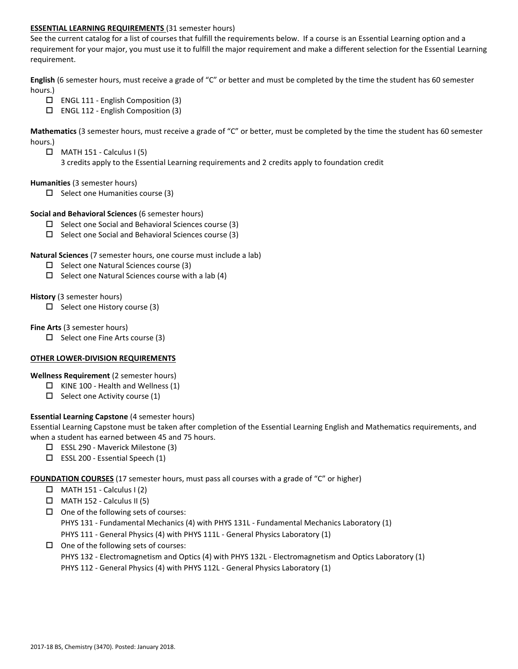### **ESSENTIAL LEARNING REQUIREMENTS** (31 semester hours)

See the current catalog for a list of courses that fulfill the requirements below. If a course is an Essential Learning option and a requirement for your major, you must use it to fulfill the major requirement and make a different selection for the Essential Learning requirement.

**English** (6 semester hours, must receive a grade of "C" or better and must be completed by the time the student has 60 semester hours.)

- $\Box$  ENGL 111 English Composition (3)
- $\Box$  ENGL 112 English Composition (3)

**Mathematics** (3 semester hours, must receive a grade of "C" or better, must be completed by the time the student has 60 semester hours.)

- $\Box$  MATH 151 Calculus I (5)
	- 3 credits apply to the Essential Learning requirements and 2 credits apply to foundation credit

### **Humanities** (3 semester hours)

 $\Box$  Select one Humanities course (3)

### **Social and Behavioral Sciences** (6 semester hours)

- $\square$  Select one Social and Behavioral Sciences course (3)
- $\square$  Select one Social and Behavioral Sciences course (3)

#### **Natural Sciences** (7 semester hours, one course must include a lab)

- $\Box$  Select one Natural Sciences course (3)
- $\Box$  Select one Natural Sciences course with a lab (4)

#### **History** (3 semester hours)

 $\Box$  Select one History course (3)

#### **Fine Arts** (3 semester hours)

 $\Box$  Select one Fine Arts course (3)

# **OTHER LOWER-DIVISION REQUIREMENTS**

# **Wellness Requirement** (2 semester hours)

- $\Box$  KINE 100 Health and Wellness (1)
- $\Box$  Select one Activity course (1)

# **Essential Learning Capstone** (4 semester hours)

Essential Learning Capstone must be taken after completion of the Essential Learning English and Mathematics requirements, and when a student has earned between 45 and 75 hours.

- $\Box$  ESSL 290 Maverick Milestone (3)
- $\square$  ESSL 200 Essential Speech (1)

# **FOUNDATION COURSES** (17 semester hours, must pass all courses with a grade of "C" or higher)

- $\Box$  MATH 151 Calculus I (2)
- $\Box$  MATH 152 Calculus II (5)
- $\Box$  One of the following sets of courses: PHYS 131 - Fundamental Mechanics (4) with PHYS 131L - Fundamental Mechanics Laboratory (1) PHYS 111 - General Physics (4) with PHYS 111L - General Physics Laboratory (1)
- $\Box$  One of the following sets of courses:
	- PHYS 132 Electromagnetism and Optics (4) with PHYS 132L Electromagnetism and Optics Laboratory (1)
	- PHYS 112 General Physics (4) with PHYS 112L General Physics Laboratory (1)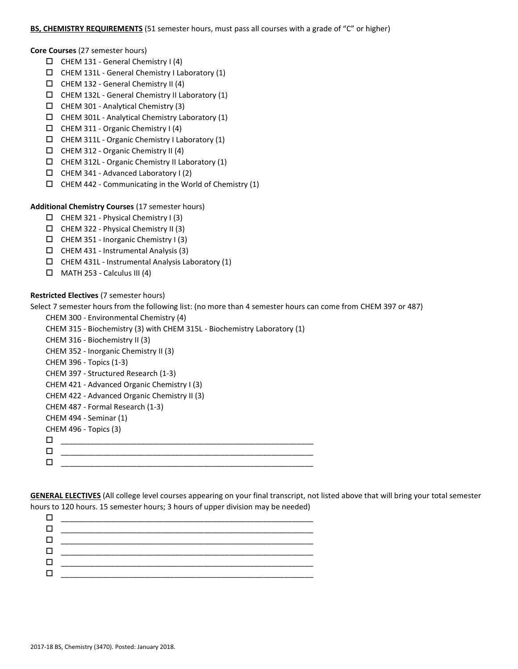### **BS, CHEMISTRY REQUIREMENTS** (51 semester hours, must pass all courses with a grade of "C" or higher)

**Core Courses** (27 semester hours)

- $\Box$  CHEM 131 General Chemistry I (4)
- $\Box$  CHEM 131L General Chemistry I Laboratory (1)
- $\Box$  CHEM 132 General Chemistry II (4)
- $\Box$  CHEM 132L General Chemistry II Laboratory (1)
- CHEM 301 Analytical Chemistry (3)
- $\Box$  CHEM 301L Analytical Chemistry Laboratory (1)
- CHEM 311 Organic Chemistry I (4)
- $\Box$  CHEM 311L Organic Chemistry I Laboratory (1)
- $\Box$  CHEM 312 Organic Chemistry II (4)
- $\Box$  CHEM 312L Organic Chemistry II Laboratory (1)
- $\Box$  CHEM 341 Advanced Laboratory I (2)
- $\Box$  CHEM 442 Communicating in the World of Chemistry (1)

### **Additional Chemistry Courses** (17 semester hours)

- $\Box$  CHEM 321 Physical Chemistry I (3)
- $\Box$  CHEM 322 Physical Chemistry II (3)
- CHEM 351 Inorganic Chemistry I (3)
- $\Box$  CHEM 431 Instrumental Analysis (3)
- $\Box$  CHEM 431L Instrumental Analysis Laboratory (1)
- $\Box$  MATH 253 Calculus III (4)

#### **Restricted Electives** (7 semester hours)

Select 7 semester hours from the following list: (no more than 4 semester hours can come from CHEM 397 or 487)

| CHEM 300 - Environmental Chemistry (4)                                   |
|--------------------------------------------------------------------------|
| CHEM 315 - Biochemistry (3) with CHEM 315L - Biochemistry Laboratory (1) |
| CHEM 316 - Biochemistry II (3)                                           |
| CHEM 352 - Inorganic Chemistry II (3)                                    |
| CHEM 396 - Topics (1-3)                                                  |
| CHEM 397 - Structured Research (1-3)                                     |
| CHEM 421 - Advanced Organic Chemistry I (3)                              |
| CHEM 422 - Advanced Organic Chemistry II (3)                             |
| CHEM 487 - Formal Research (1-3)                                         |
| CHEM 494 - Seminar (1)                                                   |
| CHEM 496 - Topics (3)                                                    |
| П                                                                        |
| □                                                                        |
|                                                                          |

**GENERAL ELECTIVES** (All college level courses appearing on your final transcript, not listed above that will bring your total semester hours to 120 hours. 15 semester hours; 3 hours of upper division may be needed)

| _________ |
|-----------|
|           |
|           |
|           |
|           |
|           |
|           |